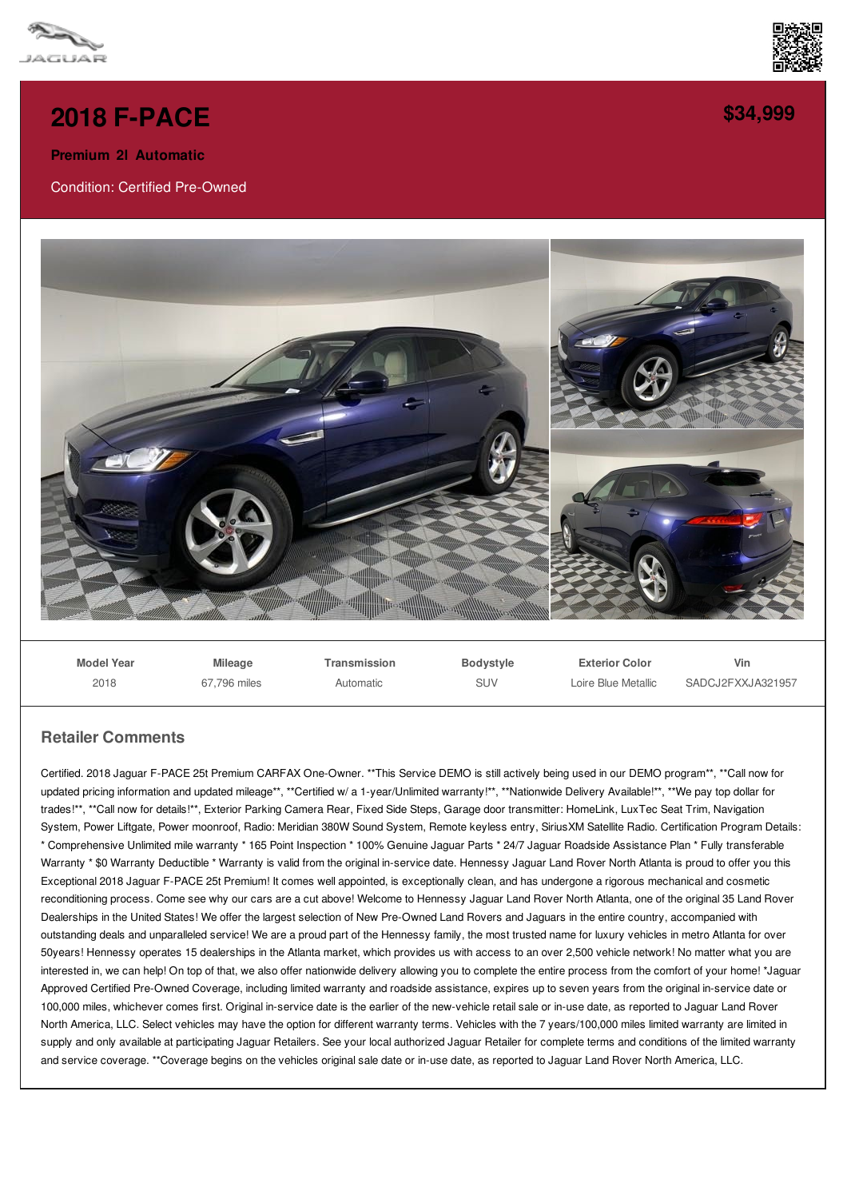



## **2018 [F-PACE](/used-certified/pdf/)**

**Premium 2l Automatic**

Condition: Certified Pre-Owned



**Model Year** 2018 **Mileage** 67,796 miles **Transmission** Automatic **Bodystyle** SUV **Exterior Color** Loire Blue Metallic **Vin** SADCJ2FXXJA321957

## **Retailer Comments**

Certified. 2018 Jaguar F-PACE 25t Premium CARFAX One-Owner. \*\*This Service DEMO is still actively being used in our DEMO program\*\*, \*\*Call now for updated pricing information and updated mileage\*\*, \*\*Certified w/ a 1-year/Unlimited warranty!\*\*, \*\*Nationwide Delivery Available!\*\*, \*\*We pay top dollar for trades!\*\*, \*\*Call now for details!\*\*, Exterior Parking Camera Rear, Fixed Side Steps, Garage door transmitter: HomeLink, LuxTec Seat Trim, Navigation System, Power Liftgate, Power moonroof, Radio: Meridian 380W Sound System, Remote keyless entry, SiriusXM Satellite Radio. Certification Program Details: \* Comprehensive Unlimited mile warranty \* 165 Point Inspection \* 100% Genuine Jaguar Parts \* 24/7 Jaguar Roadside Assistance Plan \* Fully transferable Warranty \* \$0 Warranty Deductible \* Warranty is valid from the original in-service date. Hennessy Jaguar Land Rover North Atlanta is proud to offer you this Exceptional 2018 Jaguar F-PACE 25t Premium! It comes well appointed, is exceptionally clean, and has undergone a rigorous mechanical and cosmetic reconditioning process. Come see why our cars are a cut above! Welcome to Hennessy Jaguar Land Rover North Atlanta, one of the original 35 Land Rover Dealerships in the United States! We offer the largest selection of New Pre-Owned Land Rovers and Jaguars in the entire country, accompanied with outstanding deals and unparalleled service! We are a proud part of the Hennessy family, the most trusted name for luxury vehicles in metro Atlanta for over 50years! Hennessy operates 15 dealerships in the Atlanta market, which provides us with access to an over 2,500 vehicle network! No matter what you are interested in, we can help! On top of that, we also offer nationwide delivery allowing you to complete the entire process from the comfort of your home! \*Jaguar Approved Certified Pre-Owned Coverage, including limited warranty and roadside assistance, expires up to seven years from the original in-service date or 100,000 miles, whichever comes first. Original in-service date is the earlier of the new-vehicle retail sale or in-use date, as reported to Jaguar Land Rover North America, LLC. Select vehicles may have the option for different warranty terms. Vehicles with the 7 years/100,000 miles limited warranty are limited in supply and only available at participating Jaguar Retailers. See your local authorized Jaguar Retailer for complete terms and conditions of the limited warranty and service coverage. \*\*Coverage begins on the vehicles original sale date or in-use date, as reported to Jaguar Land Rover North America, LLC.

**[\\$34,999](/used-certified/pdf/)**